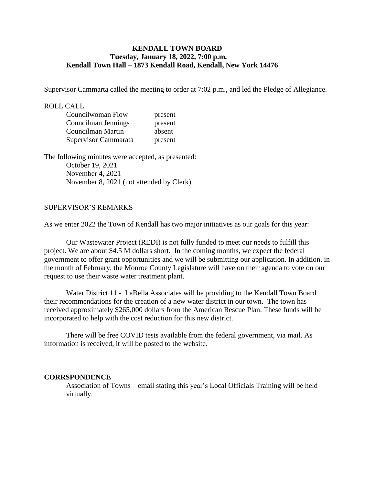### **KENDALL TOWN BOARD Tuesday, January 18, 2022, 7:00 p.m. Kendall Town Hall – 1873 Kendall Road, Kendall, New York 14476**

Supervisor Cammarta called the meeting to order at 7:02 p.m., and led the Pledge of Allegiance.

#### ROLL CALL

| Councilwoman Flow    | present |
|----------------------|---------|
| Councilman Jennings  | present |
| Councilman Martin    | absent  |
| Supervisor Cammarata | present |

The following minutes were accepted, as presented: October 19, 2021 November 4, 2021 November 8, 2021 (not attended by Clerk)

#### SUPERVISOR'S REMARKS

As we enter 2022 the Town of Kendall has two major initiatives as our goals for this year:

 Our Wastewater Project (REDI) is not fully funded to meet our needs to fulfill this project. We are about \$4.5 M dollars short. In the coming months, we expect the federal government to offer grant opportunities and we will be submitting our application. In addition, in the month of February, the Monroe County Legislature will have on their agenda to vote on our request to use their waste water treatment plant.

 Water District 11 - LaBella Associates will be providing to the Kendall Town Board their recommendations for the creation of a new water district in our town. The town has received approximately \$265,000 dollars from the American Rescue Plan. These funds will be incorporated to help with the cost reduction for this new district.

There will be free COVID tests available from the federal government, via mail. As information is received, it will be posted to the website.

### **CORRSPONDENCE**

Association of Towns – email stating this year's Local Officials Training will be held virtually.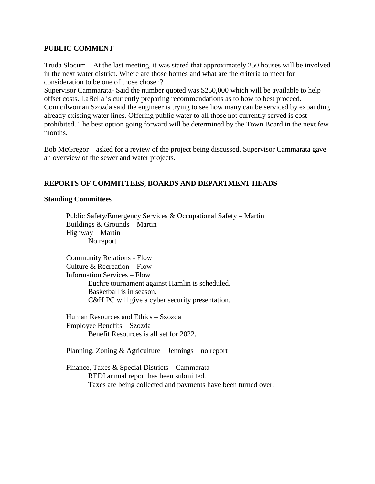### **PUBLIC COMMENT**

Truda Slocum – At the last meeting, it was stated that approximately 250 houses will be involved in the next water district. Where are those homes and what are the criteria to meet for consideration to be one of those chosen?

Supervisor Cammarata- Said the number quoted was \$250,000 which will be available to help offset costs. LaBella is currently preparing recommendations as to how to best proceed. Councilwoman Szozda said the engineer is trying to see how many can be serviced by expanding already existing water lines. Offering public water to all those not currently served is cost prohibited. The best option going forward will be determined by the Town Board in the next few months.

Bob McGregor – asked for a review of the project being discussed. Supervisor Cammarata gave an overview of the sewer and water projects.

# **REPORTS OF COMMITTEES, BOARDS AND DEPARTMENT HEADS**

### **Standing Committees**

 Public Safety/Emergency Services & Occupational Safety – Martin Buildings & Grounds – Martin Highway – Martin No report

Community Relations - Flow Culture & Recreation – Flow Information Services – Flow Euchre tournament against Hamlin is scheduled. Basketball is in season. C&H PC will give a cyber security presentation.

Human Resources and Ethics – Szozda Employee Benefits – Szozda Benefit Resources is all set for 2022.

Planning, Zoning & Agriculture – Jennings – no report

Finance, Taxes & Special Districts – Cammarata REDI annual report has been submitted. Taxes are being collected and payments have been turned over.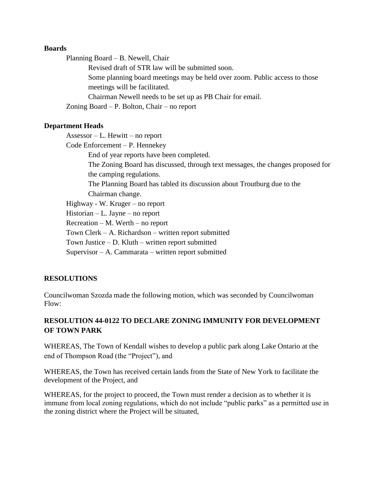### **Boards**

Planning Board – B. Newell, Chair

Revised draft of STR law will be submitted soon.

Some planning board meetings may be held over zoom. Public access to those meetings will be facilitated.

Chairman Newell needs to be set up as PB Chair for email.

Zoning Board – P. Bolton, Chair – no report

# **Department Heads**

Assessor – L. Hewitt – no report

Code Enforcement – P. Hennekey

End of year reports have been completed.

The Zoning Board has discussed, through text messages, the changes proposed for the camping regulations.

The Planning Board has tabled its discussion about Troutburg due to the Chairman change.

Highway - W. Kruger – no report

Historian – L. Jayne – no report

Recreation – M. Werth – no report

Town Clerk – A. Richardson – written report submitted

Town Justice – D. Kluth – written report submitted

Supervisor – A. Cammarata – written report submitted

# **RESOLUTIONS**

Councilwoman Szozda made the following motion, which was seconded by Councilwoman Flow:

# **RESOLUTION 44-0122 TO DECLARE ZONING IMMUNITY FOR DEVELOPMENT OF TOWN PARK**

WHEREAS, The Town of Kendall wishes to develop a public park along Lake Ontario at the end of Thompson Road (the "Project"), and

WHEREAS, the Town has received certain lands from the State of New York to facilitate the development of the Project, and

WHEREAS, for the project to proceed, the Town must render a decision as to whether it is immune from local zoning regulations, which do not include "public parks" as a permitted use in the zoning district where the Project will be situated,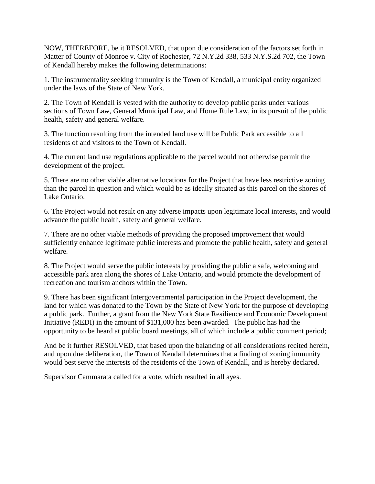NOW, THEREFORE, be it RESOLVED, that upon due consideration of the factors set forth in Matter of County of Monroe v. City of Rochester, 72 N.Y.2d 338, 533 N.Y.S.2d 702, the Town of Kendall hereby makes the following determinations:

1. The instrumentality seeking immunity is the Town of Kendall, a municipal entity organized under the laws of the State of New York.

2. The Town of Kendall is vested with the authority to develop public parks under various sections of Town Law, General Municipal Law, and Home Rule Law, in its pursuit of the public health, safety and general welfare.

3. The function resulting from the intended land use will be Public Park accessible to all residents of and visitors to the Town of Kendall.

4. The current land use regulations applicable to the parcel would not otherwise permit the development of the project.

5. There are no other viable alternative locations for the Project that have less restrictive zoning than the parcel in question and which would be as ideally situated as this parcel on the shores of Lake Ontario.

6. The Project would not result on any adverse impacts upon legitimate local interests, and would advance the public health, safety and general welfare.

7. There are no other viable methods of providing the proposed improvement that would sufficiently enhance legitimate public interests and promote the public health, safety and general welfare.

8. The Project would serve the public interests by providing the public a safe, welcoming and accessible park area along the shores of Lake Ontario, and would promote the development of recreation and tourism anchors within the Town.

9. There has been significant Intergovernmental participation in the Project development, the land for which was donated to the Town by the State of New York for the purpose of developing a public park. Further, a grant from the New York State Resilience and Economic Development Initiative (REDI) in the amount of \$131,000 has been awarded. The public has had the opportunity to be heard at public board meetings, all of which include a public comment period;

And be it further RESOLVED, that based upon the balancing of all considerations recited herein, and upon due deliberation, the Town of Kendall determines that a finding of zoning immunity would best serve the interests of the residents of the Town of Kendall, and is hereby declared.

Supervisor Cammarata called for a vote, which resulted in all ayes.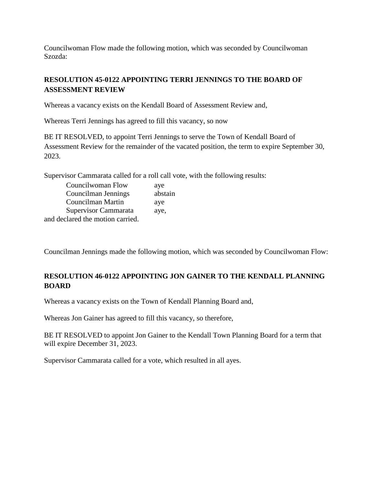Councilwoman Flow made the following motion, which was seconded by Councilwoman Szozda:

# **RESOLUTION 45-0122 APPOINTING TERRI JENNINGS TO THE BOARD OF ASSESSMENT REVIEW**

Whereas a vacancy exists on the Kendall Board of Assessment Review and,

Whereas Terri Jennings has agreed to fill this vacancy, so now

BE IT RESOLVED, to appoint Terri Jennings to serve the Town of Kendall Board of Assessment Review for the remainder of the vacated position, the term to expire September 30, 2023.

Supervisor Cammarata called for a roll call vote, with the following results:

| Councilwoman Flow                | aye     |
|----------------------------------|---------|
| Councilman Jennings              | abstain |
| Councilman Martin                | aye     |
| Supervisor Cammarata             | aye,    |
| and declared the motion carried. |         |

Councilman Jennings made the following motion, which was seconded by Councilwoman Flow:

# **RESOLUTION 46-0122 APPOINTING JON GAINER TO THE KENDALL PLANNING BOARD**

Whereas a vacancy exists on the Town of Kendall Planning Board and,

Whereas Jon Gainer has agreed to fill this vacancy, so therefore,

BE IT RESOLVED to appoint Jon Gainer to the Kendall Town Planning Board for a term that will expire December 31, 2023.

Supervisor Cammarata called for a vote, which resulted in all ayes.